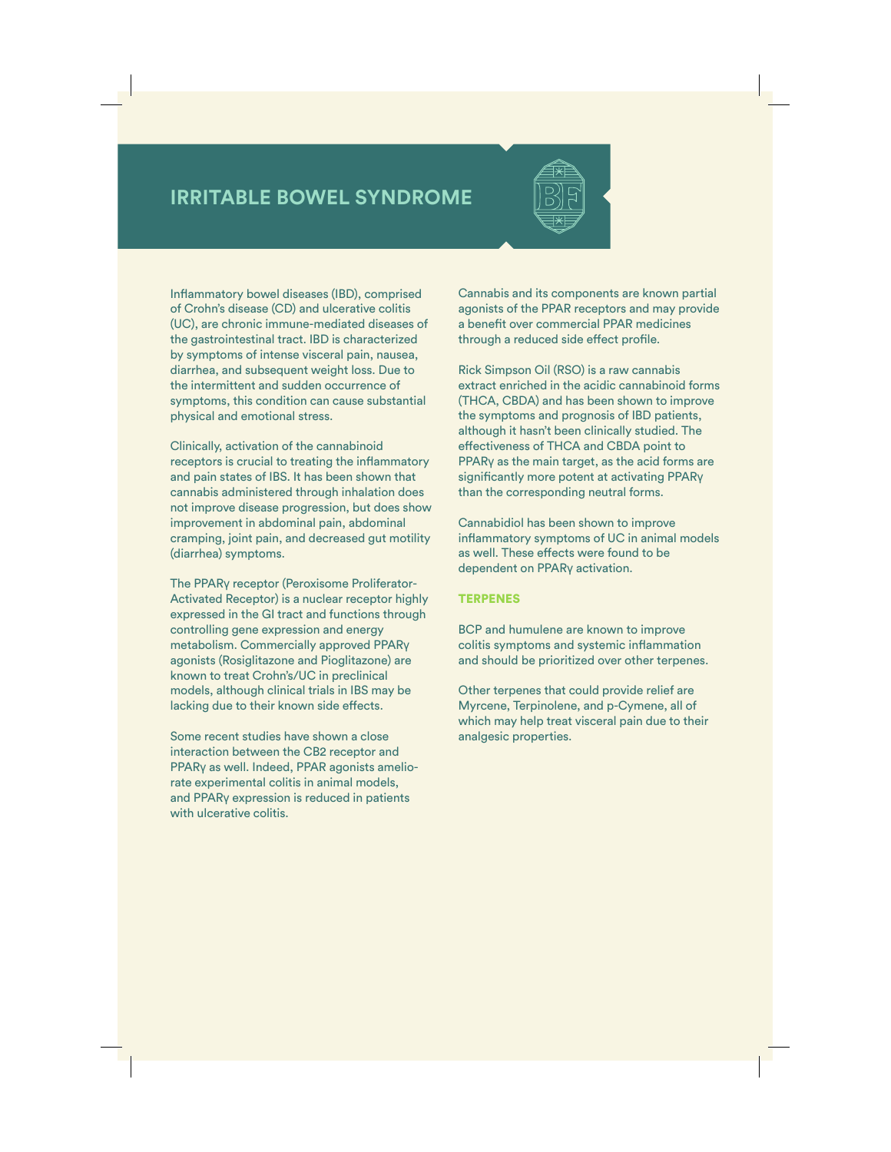## **IRRITABLE BOWEL SYNDROME**

Inflammatory bowel diseases (IBD), comprised of Crohn's disease (CD) and ulcerative colitis (UC), are chronic immune-mediated diseases of the gastrointestinal tract. IBD is characterized by symptoms of intense visceral pain, nausea, diarrhea, and subsequent weight loss. Due to the intermittent and sudden occurrence of symptoms, this condition can cause substantial physical and emotional stress.

Clinically, activation of the cannabinoid receptors is crucial to treating the inflammatory and pain states of IBS. It has been shown that cannabis administered through inhalation does not improve disease progression, but does show improvement in abdominal pain, abdominal cramping, joint pain, and decreased gut motility (diarrhea) symptoms.

The PPARγ receptor (Peroxisome Proliferator-Activated Receptor) is a nuclear receptor highly expressed in the GI tract and functions through controlling gene expression and energy metabolism. Commercially approved PPARγ agonists (Rosiglitazone and Pioglitazone) are known to treat Crohn's/UC in preclinical models, although clinical trials in IBS may be lacking due to their known side effects.

Some recent studies have shown a close interaction between the CB2 receptor and PPARγ as well. Indeed, PPAR agonists ameliorate experimental colitis in animal models, and PPARγ expression is reduced in patients with ulcerative colitis.

Cannabis and its components are known partial agonists of the PPAR receptors and may provide a benefit over commercial PPAR medicines through a reduced side effect profile.

Rick Simpson Oil (RSO) is a raw cannabis extract enriched in the acidic cannabinoid forms (THCA, CBDA) and has been shown to improve the symptoms and prognosis of IBD patients, although it hasn't been clinically studied. The effectiveness of THCA and CBDA point to PPARγ as the main target, as the acid forms are significantly more potent at activating PPARγ than the corresponding neutral forms.

Cannabidiol has been shown to improve inflammatory symptoms of UC in animal models as well. These effects were found to be dependent on PPARγ activation.

## **TERPENES**

BCP and humulene are known to improve colitis symptoms and systemic inflammation and should be prioritized over other terpenes.

Other terpenes that could provide relief are Myrcene, Terpinolene, and p-Cymene, all of which may help treat visceral pain due to their analgesic properties.